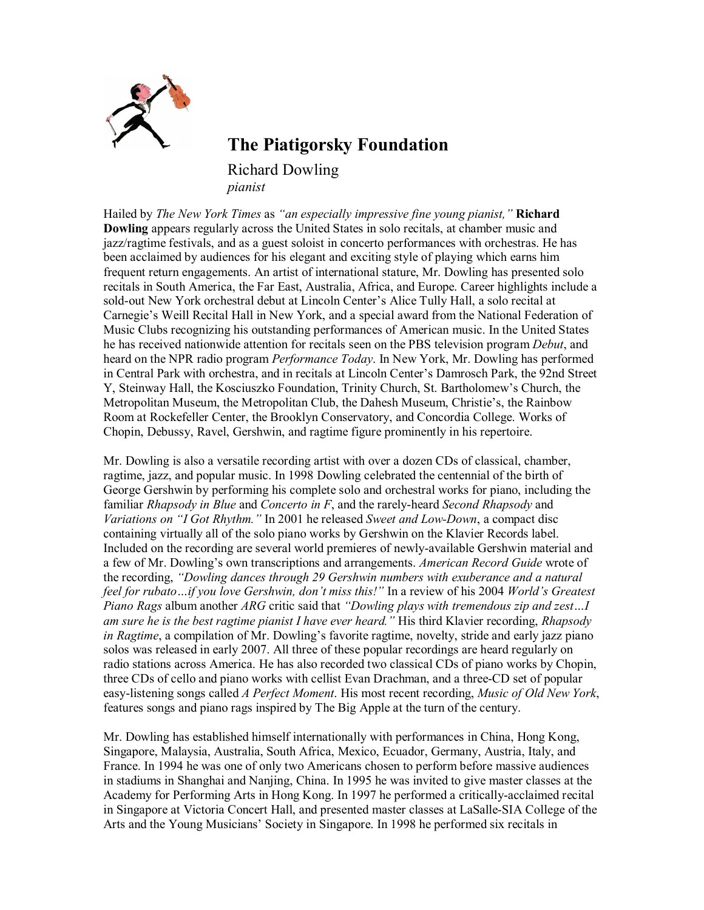

**The Piatigorsky Foundation**

Richard Dowling *pianist*

Hailed by *The New York Times* as *"an especially impressive fine young pianist,"* **Richard Dowling** appears regularly across the United States in solo recitals, at chamber music and jazz/ragtime festivals, and as a guest soloist in concerto performances with orchestras. He has been acclaimed by audiences for his elegant and exciting style of playing which earns him frequent return engagements. An artist of international stature, Mr. Dowling has presented solo recitals in South America, the Far East, Australia, Africa, and Europe. Career highlights include a sold-out New York orchestral debut at Lincoln Center's Alice Tully Hall, a solo recital at Carnegie's Weill Recital Hall in New York, and a special award from the National Federation of Music Clubs recognizing his outstanding performances of American music. In the United States he has received nationwide attention for recitals seen on the PBS television program *Debut*, and heard on the NPR radio program *Performance Today*. In New York, Mr. Dowling has performed in Central Park with orchestra, and in recitals at Lincoln Center's Damrosch Park, the 92nd Street Y, Steinway Hall, the Kosciuszko Foundation, Trinity Church, St. Bartholomew's Church, the Metropolitan Museum, the Metropolitan Club, the Dahesh Museum, Christie's, the Rainbow Room at Rockefeller Center, the Brooklyn Conservatory, and Concordia College. Works of Chopin, Debussy, Ravel, Gershwin, and ragtime figure prominently in his repertoire.

Mr. Dowling is also a versatile recording artist with over a dozen CDs of classical, chamber, ragtime, jazz, and popular music. In 1998 Dowling celebrated the centennial of the birth of George Gershwin by performing his complete solo and orchestral works for piano, including the familiar *Rhapsody in Blue* and *Concerto in F*, and the rarely-heard *Second Rhapsody* and *Variations on "I Got Rhythm."* In 2001 he released *Sweet and Low-Down*, a compact disc containing virtually all of the solo piano works by Gershwin on the Klavier Records label. Included on the recording are several world premieres of newly-available Gershwin material and a few of Mr. Dowling's own transcriptions and arrangements. *American Record Guide* wrote of the recording, *"Dowling dances through 29 Gershwin numbers with exuberance and a natural feel for rubato…if you love Gershwin, don't miss this!"* In a review of his 2004 *World's Greatest Piano Rags* album another *ARG* critic said that *"Dowling plays with tremendous zip and zest…I am sure he is the best ragtime pianist I have ever heard."* His third Klavier recording, *Rhapsody in Ragtime*, a compilation of Mr. Dowling's favorite ragtime, novelty, stride and early jazz piano solos was released in early 2007. All three of these popular recordings are heard regularly on radio stations across America. He has also recorded two classical CDs of piano works by Chopin, three CDs of cello and piano works with cellist Evan Drachman, and a three-CD set of popular easy-listening songs called *A Perfect Moment*. His most recent recording, *Music of Old New York*, features songs and piano rags inspired by The Big Apple at the turn of the century.

Mr. Dowling has established himself internationally with performances in China, Hong Kong, Singapore, Malaysia, Australia, South Africa, Mexico, Ecuador, Germany, Austria, Italy, and France. In 1994 he was one of only two Americans chosen to perform before massive audiences in stadiums in Shanghai and Nanjing, China. In 1995 he was invited to give master classes at the Academy for Performing Arts in Hong Kong. In 1997 he performed a critically-acclaimed recital in Singapore at Victoria Concert Hall, and presented master classes at LaSalle-SIA College of the Arts and the Young Musicians' Society in Singapore. In 1998 he performed six recitals in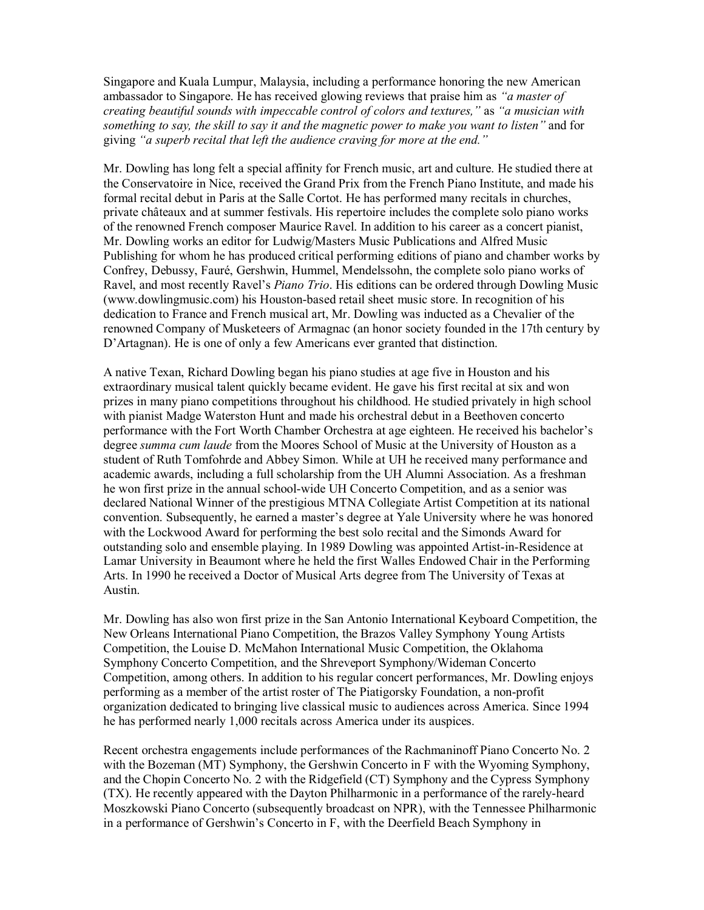Singapore and Kuala Lumpur, Malaysia, including a performance honoring the new American ambassador to Singapore. He has received glowing reviews that praise him as *"a master of creating beautiful sounds with impeccable control of colors and textures,"* as *"a musician with something to say, the skill to say it and the magnetic power to make you want to listen"* and for giving *"a superb recital that left the audience craving for more at the end."*

Mr. Dowling has long felt a special affinity for French music, art and culture. He studied there at the Conservatoire in Nice, received the Grand Prix from the French Piano Institute, and made his formal recital debut in Paris at the Salle Cortot. He has performed many recitals in churches, private châteaux and at summer festivals. His repertoire includes the complete solo piano works of the renowned French composer Maurice Ravel. In addition to his career as a concert pianist, Mr. Dowling works an editor for Ludwig/Masters Music Publications and Alfred Music Publishing for whom he has produced critical performing editions of piano and chamber works by Confrey, Debussy, Fauré, Gershwin, Hummel, Mendelssohn, the complete solo piano works of Ravel, and most recently Ravel's *Piano Trio*. His editions can be ordered through Dowling Music (www.dowlingmusic.com) his Houston-based retail sheet music store. In recognition of his dedication to France and French musical art, Mr. Dowling was inducted as a Chevalier of the renowned Company of Musketeers of Armagnac (an honor society founded in the 17th century by D'Artagnan). He is one of only a few Americans ever granted that distinction.

A native Texan, Richard Dowling began his piano studies at age five in Houston and his extraordinary musical talent quickly became evident. He gave his first recital at six and won prizes in many piano competitions throughout his childhood. He studied privately in high school with pianist Madge Waterston Hunt and made his orchestral debut in a Beethoven concerto performance with the Fort Worth Chamber Orchestra at age eighteen. He received his bachelor's degree *summa cum laude* from the Moores School of Music at the University of Houston as a student of Ruth Tomfohrde and Abbey Simon. While at UH he received many performance and academic awards, including a full scholarship from the UH Alumni Association. As a freshman he won first prize in the annual school-wide UH Concerto Competition, and as a senior was declared National Winner of the prestigious MTNA Collegiate Artist Competition at its national convention. Subsequently, he earned a master's degree at Yale University where he was honored with the Lockwood Award for performing the best solo recital and the Simonds Award for outstanding solo and ensemble playing. In 1989 Dowling was appointed Artist-in-Residence at Lamar University in Beaumont where he held the first Walles Endowed Chair in the Performing Arts. In 1990 he received a Doctor of Musical Arts degree from The University of Texas at Austin.

Mr. Dowling has also won first prize in the San Antonio International Keyboard Competition, the New Orleans International Piano Competition, the Brazos Valley Symphony Young Artists Competition, the Louise D. McMahon International Music Competition, the Oklahoma Symphony Concerto Competition, and the Shreveport Symphony/Wideman Concerto Competition, among others. In addition to his regular concert performances, Mr. Dowling enjoys performing as a member of the artist roster of The Piatigorsky Foundation, a non-profit organization dedicated to bringing live classical music to audiences across America. Since 1994 he has performed nearly 1,000 recitals across America under its auspices.

Recent orchestra engagements include performances of the Rachmaninoff Piano Concerto No. 2 with the Bozeman (MT) Symphony, the Gershwin Concerto in F with the Wyoming Symphony, and the Chopin Concerto No. 2 with the Ridgefield (CT) Symphony and the Cypress Symphony (TX). He recently appeared with the Dayton Philharmonic in a performance of the rarely-heard Moszkowski Piano Concerto (subsequently broadcast on NPR), with the Tennessee Philharmonic in a performance of Gershwin's Concerto in F, with the Deerfield Beach Symphony in